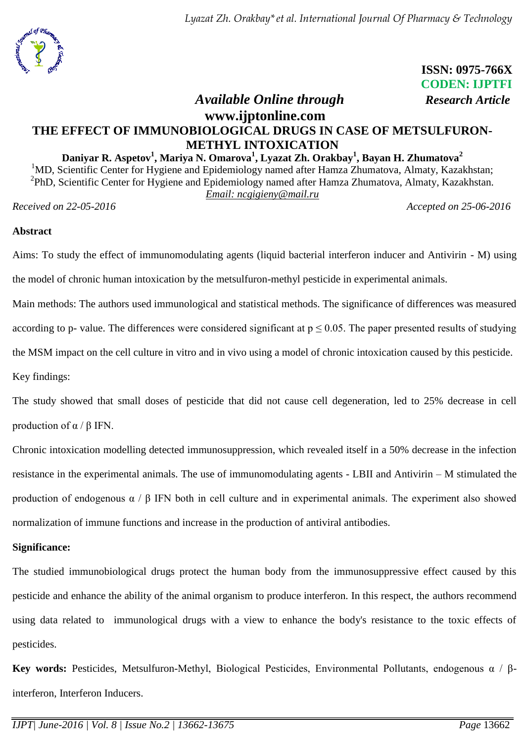

# **ISSN: 0975-766X CODEN: IJPTFI**

## *Available Online through Research Article* **www.ijptonline.com THE EFFECT OF IMMUNOBIOLOGICAL DRUGS IN CASE OF METSULFURON-METHYL INTOXICATION**

#### **Daniyar R. Aspetov<sup>1</sup> , Mariya N. Omarova<sup>1</sup> , Lyazat Zh. Orakbay<sup>1</sup> , Bayan H. Zhumatova<sup>2</sup>**

<sup>1</sup>MD, Scientific Center for Hygiene and Epidemiology named after Hamza Zhumatova, Almaty, Kazakhstan; <sup>2</sup>PhD, Scientific Center for Hygiene and Epidemiology named after Hamza Zhumatova, Almaty, Kazakhstan. *Email: ncgigieny@mail.ru*

*Received on 22-05-2016 Accepted on 25-06-2016*

#### **Abstract**

Aims: To study the effect of immunomodulating agents (liquid bacterial interferon inducer and Antivirin - M) using the model of chronic human intoxication by the metsulfuron-methyl pesticide in experimental animals.

Main methods: The authors used immunological and statistical methods. The significance of differences was measured according to p- value. The differences were considered significant at  $p \le 0.05$ . The paper presented results of studying the MSM impact on the cell culture in vitro and in vivo using a model of chronic intoxication caused by this pesticide. Key findings:

The study showed that small doses of pesticide that did not cause cell degeneration, led to 25% decrease in cell production of  $\alpha$  / β IFN.

Chronic intoxication modelling detected immunosuppression, which revealed itself in a 50% decrease in the infection resistance in the experimental animals. The use of immunomodulating agents - LBII and Antivirin – M stimulated the production of endogenous  $\alpha$  / β IFN both in cell culture and in experimental animals. The experiment also showed normalization of immune functions and increase in the production of antiviral antibodies.

## **Significance:**

The studied immunobiological drugs protect the human body from the immunosuppressive effect caused by this pesticide and enhance the ability of the animal organism to produce interferon. In this respect, the authors recommend using data related to immunological drugs with a view to enhance the body's resistance to the toxic effects of pesticides.

**Key words:** Pesticides, Metsulfuron-Methyl, Biological Pesticides, Environmental Pollutants, endogenous α / βinterferon, Interferon Inducers.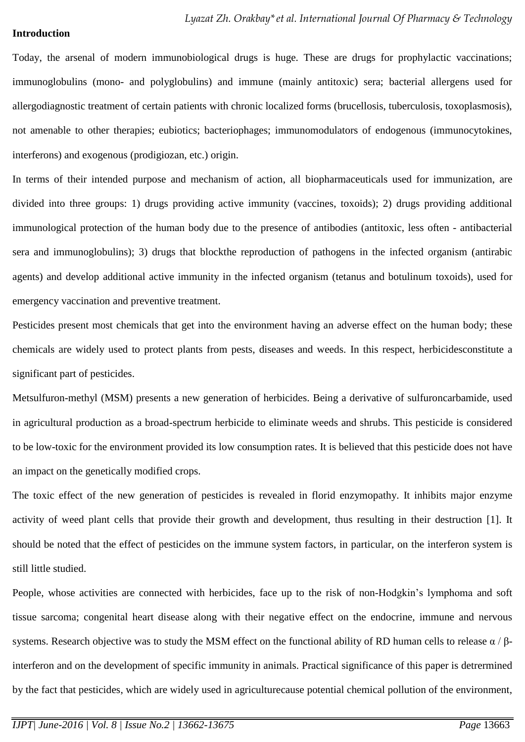#### **Introduction**

Today, the arsenal of modern immunobiological drugs is huge. These are drugs for prophylactic vaccinations; immunoglobulins (mono- and polyglobulins) and immune (mainly antitoxic) sera; bacterial allergens used for allergodiagnostic treatment of certain patients with chronic localized forms (brucellosis, tuberculosis, toxoplasmosis), not amenable to other therapies; eubiotics; bacteriophages; immunomodulators of endogenous (immunocytokines, interferons) and exogenous (prodigiozan, etc.) origin.

In terms of their intended purpose and mechanism of action, all biopharmaceuticals used for immunization, are divided into three groups: 1) drugs providing active immunity (vaccines, toxoids); 2) drugs providing additional immunological protection of the human body due to the presence of antibodies (antitoxic, less often - antibacterial sera and immunoglobulins); 3) drugs that blockthe reproduction of pathogens in the infected organism (antirabic agents) and develop additional active immunity in the infected organism (tetanus and botulinum toxoids), used for emergency vaccination and preventive treatment.

Pesticides present most chemicals that get into the environment having an adverse effect on the human body; these chemicals are widely used to protect plants from pests, diseases and weeds. In this respect, herbicidesconstitute a significant part of pesticides.

Metsulfuron-methyl (MSM) presents a new generation of herbicides. Being a derivative of sulfuroncarbamide, used in agricultural production as a broad-spectrum herbicide to eliminate weeds and shrubs. This pesticide is considered to be low-toxic for the environment provided its low consumption rates. It is believed that this pesticide does not have an impact on the genetically modified crops.

The toxic effect of the new generation of pesticides is revealed in florid enzymopathy. It inhibits major enzyme activity of weed plant cells that provide their growth and development, thus resulting in their destruction [1]. It should be noted that the effect of pesticides on the immune system factors, in particular, on the interferon system is still little studied.

People, whose activities are connected with herbicides, face up to the risk of non-Hodgkin's lymphoma and soft tissue sarcoma; congenital heart disease along with their negative effect on the endocrine, immune and nervous systems. Research objective was to study the MSM effect on the functional ability of RD human cells to release  $\alpha / \beta$ interferon and on the development of specific immunity in animals. Practical significance of this paper is detrermined by the fact that pesticides, which are widely used in agriculturecause potential chemical pollution of the environment,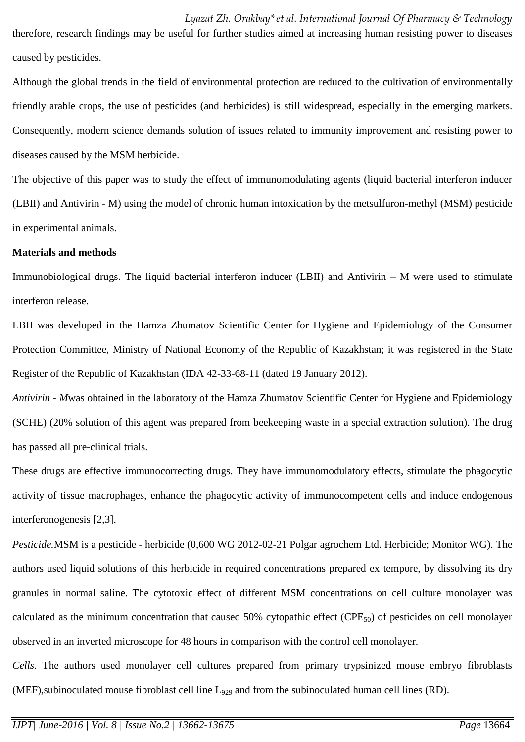therefore, research findings may be useful for further studies aimed at increasing human resisting power to diseases caused by pesticides.

Although the global trends in the field of environmental protection are reduced to the cultivation of environmentally friendly arable crops, the use of pesticides (and herbicides) is still widespread, especially in the emerging markets. Consequently, modern science demands solution of issues related to immunity improvement and resisting power to diseases caused by the MSM herbicide.

The objective of this paper was to study the effect of immunomodulating agents (liquid bacterial interferon inducer (LBII) and Antivirin - M) using the model of chronic human intoxication by the metsulfuron-methyl (MSM) pesticide in experimental animals.

#### **Materials and methods**

Immunobiological drugs. The liquid bacterial interferon inducer (LBII) and Antivirin – M were used to stimulate interferon release.

LBII was developed in the Hamza Zhumatov Scientific Center for Hygiene and Epidemiology of the Consumer Protection Committee, Ministry of National Economy of the Republic of Kazakhstan; it was registered in the State Register of the Republic of Kazakhstan (IDA 42-33-68-11 (dated 19 January 2012).

*Antivirin - M*was obtained in the laboratory of the Hamza Zhumatov Scientific Center for Hygiene and Epidemiology (SCHE) (20% solution of this agent was prepared from beekeeping waste in a special extraction solution). The drug has passed all pre-clinical trials.

These drugs are effective immunocorrecting drugs. They have immunomodulatory effects, stimulate the phagocytic activity of tissue macrophages, enhance the phagocytic activity of immunocompetent cells and induce endogenous interferonogenesis [2,3].

*Pesticide.*MSM is a pesticide - herbicide (0,600 WG 2012-02-21 Polgar agrochem Ltd. Herbicide; Monitor WG). The authors used liquid solutions of this herbicide in required concentrations prepared ex tempore, by dissolving its dry granules in normal saline. The cytotoxic effect of different MSM concentrations on cell culture monolayer was calculated as the minimum concentration that caused 50% cytopathic effect (CPE $_{50}$ ) of pesticides on cell monolayer observed in an inverted microscope for 48 hours in comparison with the control cell monolayer.

*Cells.* The authors used monolayer cell cultures prepared from primary trypsinized mouse embryo fibroblasts (MEF), subinoculated mouse fibroblast cell line L<sub>929</sub> and from the subinoculated human cell lines (RD).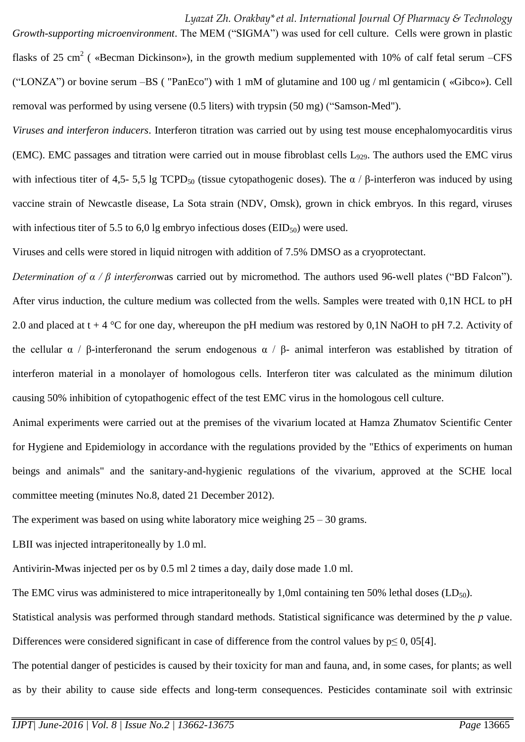*Growth-supporting microenvironment*. The MEM ("SIGMA") was used for cell culture. Cells were grown in plastic flasks of 25 cm<sup>2</sup> ( «Becman Dickinson»), in the growth medium supplemented with 10% of calf fetal serum –CFS ("LONZA") or bovine serum –BS ( "PanEco") with 1 mM of glutamine and 100 ug / ml gentamicin ( «Gibco»). Cell removal was performed by using versene (0.5 liters) with trypsin (50 mg) ("Samson-Med").

*Viruses and interferon inducers*. Interferon titration was carried out by using test mouse encephalomyocarditis virus (EMC). EMC passages and titration were carried out in mouse fibroblast cells  $L_{929}$ . The authors used the EMC virus with infectious titer of 4,5- 5,5 lg TCPD<sub>50</sub> (tissue cytopathogenic doses). The  $\alpha$  /  $\beta$ -interferon was induced by using vaccine strain of Newcastle disease, La Sota strain (NDV, Omsk), grown in chick embryos. In this regard, viruses with infectious titer of 5.5 to 6,0 lg embryo infectious doses ( $EID_{50}$ ) were used.

Viruses and cells were stored in liquid nitrogen with addition of 7.5% DMSO as a cryoprotectant.

*Determination of α / β interferon*was carried out by micromethod. The authors used 96-well plates ("BD Falcon"). After virus induction, the culture medium was collected from the wells. Samples were treated with 0,1N HCL to pH 2.0 and placed at  $t + 4$  °C for one day, whereupon the pH medium was restored by 0,1N NaOH to pH 7.2. Activity of the cellular  $\alpha$  / β-interferonand the serum endogenous  $\alpha$  / β- animal interferon was established by titration of interferon material in a monolayer of homologous cells. Interferon titer was calculated as the minimum dilution causing 50% inhibition of cytopathogenic effect of the test EMC virus in the homologous cell culture.

Animal experiments were carried out at the premises of the vivarium located at Hamza Zhumatov Scientific Center for Hygiene and Epidemiology in accordance with the regulations provided by the "Ethics of experiments on human beings and animals" and the sanitary-and-hygienic regulations of the vivarium, approved at the SCHE local committee meeting (minutes No.8, dated 21 December 2012).

The experiment was based on using white laboratory mice weighing  $25 - 30$  grams.

LBII was injected intraperitoneally by 1.0 ml.

Antivirin-Mwas injected per os by 0.5 ml 2 times a day, daily dose made 1.0 ml.

The EMC virus was administered to mice intraperitoneally by 1,0ml containing ten 50% lethal doses  $(LD_{50})$ .

Statistical analysis was performed through standard methods. Statistical significance was determined by the *p* value. Differences were considered significant in case of difference from the control values by  $p \le 0$ , 05[4].

The potential danger of pesticides is caused by their toxicity for man and fauna, and, in some cases, for plants; as well as by their ability to cause side effects and long-term consequences. Pesticides contaminate soil with extrinsic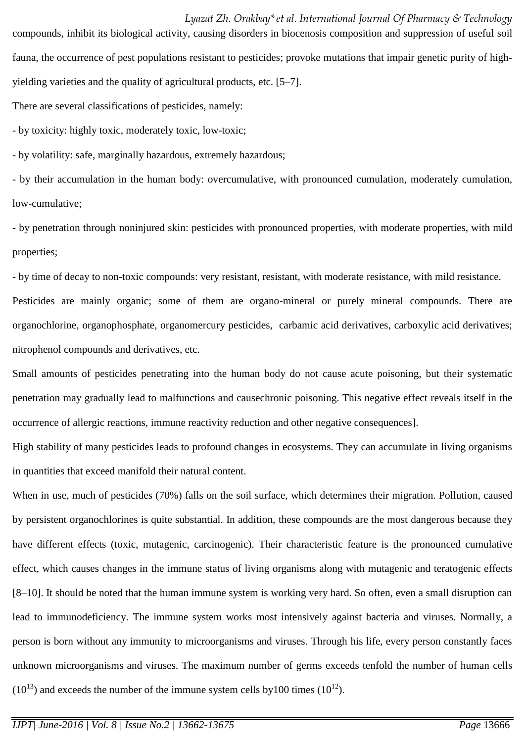compounds, inhibit its biological activity, causing disorders in biocenosis composition and suppression of useful soil fauna, the occurrence of pest populations resistant to pesticides; provoke mutations that impair genetic purity of highyielding varieties and the quality of agricultural products, etc. [5–7].

There are several classifications of pesticides, namely:

- by toxicity: highly toxic, moderately toxic, low-toxic;

- by volatility: safe, marginally hazardous, extremely hazardous;

- by their accumulation in the human body: overcumulative, with pronounced cumulation, moderately cumulation, low-cumulative;

- by penetration through noninjured skin: pesticides with pronounced properties, with moderate properties, with mild properties;

- by time of decay to non-toxic compounds: very resistant, resistant, with moderate resistance, with mild resistance. Pesticides are mainly organic; some of them are organo-mineral or purely mineral compounds. There are organochlorine, organophosphate, organomercury pesticides, carbamic acid derivatives, carboxylic acid derivatives; nitrophenol compounds and derivatives, etc.

Small amounts of pesticides penetrating into the human body do not cause acute poisoning, but their systematic penetration may gradually lead to malfunctions and causechronic poisoning. This negative effect reveals itself in the occurrence of allergic reactions, immune reactivity reduction and other negative consequences].

High stability of many pesticides leads to profound changes in ecosystems. They can accumulate in living organisms in quantities that exceed manifold their natural content.

When in use, much of pesticides (70%) falls on the soil surface, which determines their migration. Pollution, caused by persistent organochlorines is quite substantial. In addition, these compounds are the most dangerous because they have different effects (toxic, mutagenic, carcinogenic). Their characteristic feature is the pronounced cumulative effect, which causes changes in the immune status of living organisms along with mutagenic and teratogenic effects [8–10]. It should be noted that the human immune system is working very hard. So often, even a small disruption can lead to immunodeficiency. The immune system works most intensively against bacteria and viruses. Normally, a person is born without any immunity to microorganisms and viruses. Through his life, every person constantly faces unknown microorganisms and viruses. The maximum number of germs exceeds tenfold the number of human cells  $(10^{13})$  and exceeds the number of the immune system cells by100 times  $(10^{12})$ .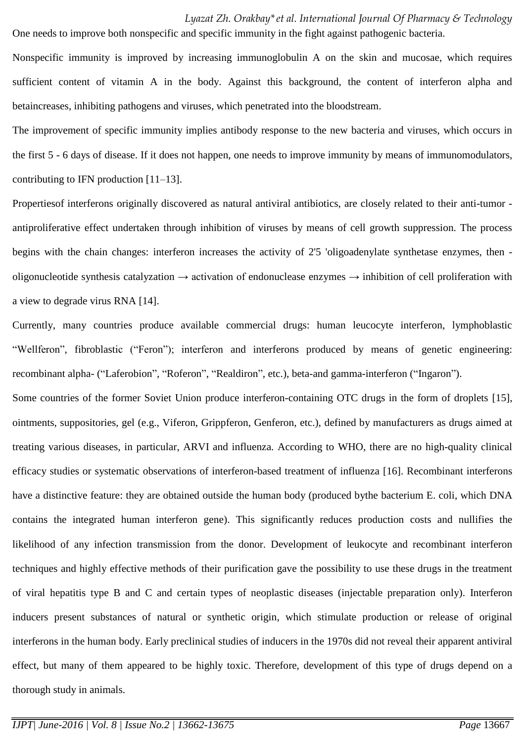*Lyazat Zh. Orakbay\*et al. International Journal Of Pharmacy & Technology*  One needs to improve both nonspecific and specific immunity in the fight against pathogenic bacteria.

Nonspecific immunity is improved by increasing immunoglobulin A on the skin and mucosae, which requires sufficient content of vitamin A in the body. Against this background, the content of interferon alpha and betaincreases, inhibiting pathogens and viruses, which penetrated into the bloodstream.

The improvement of specific immunity implies antibody response to the new bacteria and viruses, which occurs in the first 5 - 6 days of disease. If it does not happen, one needs to improve immunity by means of immunomodulators, contributing to IFN production [11–13].

Propertiesof interferons originally discovered as natural antiviral antibiotics, are closely related to their anti-tumor antiproliferative effect undertaken through inhibition of viruses by means of cell growth suppression. The process begins with the chain changes: interferon increases the activity of 2'5 'oligoadenylate synthetase enzymes, then oligonucleotide synthesis catalyzation  $\rightarrow$  activation of endonuclease enzymes  $\rightarrow$  inhibition of cell proliferation with a view to degrade virus RNA [14].

Currently, many countries produce available commercial drugs: human leucocyte interferon, lymphoblastic "Wellferon", fibroblastic ("Feron"); interferon and interferons produced by means of genetic engineering: recombinant alpha- ("Laferobion", "Roferon", "Realdiron", etc.), beta-and gamma-interferon ("Ingaron").

Some countries of the former Soviet Union produce interferon-containing OTC drugs in the form of droplets [15], ointments, suppositories, gel (e.g., Viferon, Grippferon, Genferon, etc.), defined by manufacturers as drugs aimed at treating various diseases, in particular, ARVI and influenza. According to WHO, there are no high-quality clinical efficacy studies or systematic observations of interferon-based treatment of influenza [16]. Recombinant interferons have a distinctive feature: they are obtained outside the human body (produced bythe bacterium E. coli, which DNA contains the integrated human interferon gene). This significantly reduces production costs and nullifies the likelihood of any infection transmission from the donor. Development of leukocyte and recombinant interferon techniques and highly effective methods of their purification gave the possibility to use these drugs in the treatment of viral hepatitis type B and C and certain types of neoplastic diseases (injectable preparation only). Interferon inducers present substances of natural or synthetic origin, which stimulate production or release of original interferons in the human body. Early preclinical studies of inducers in the 1970s did not reveal their apparent antiviral effect, but many of them appeared to be highly toxic. Therefore, development of this type of drugs depend on a thorough study in animals.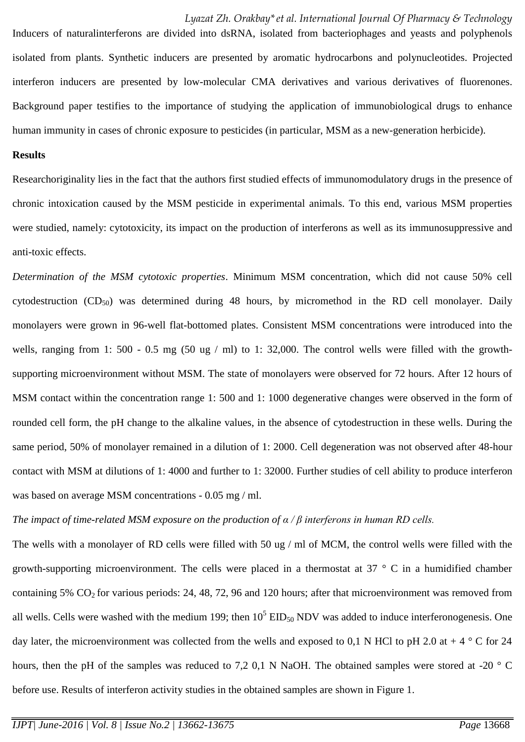Inducers of naturalinterferons are divided into dsRNA, isolated from bacteriophages and yeasts and polyphenols isolated from plants. Synthetic inducers are presented by aromatic hydrocarbons and polynucleotides. Projected interferon inducers are presented by low-molecular CMA derivatives and various derivatives of fluorenones. Background paper testifies to the importance of studying the application of immunobiological drugs to enhance human immunity in cases of chronic exposure to pesticides (in particular, MSM as a new-generation herbicide).

#### **Results**

Researchoriginality lies in the fact that the authors first studied effects of immunomodulatory drugs in the presence of chronic intoxication caused by the MSM pesticide in experimental animals. To this end, various MSM properties were studied, namely: cytotoxicity, its impact on the production of interferons as well as its immunosuppressive and anti-toxic effects.

*Determination of the MSM cytotoxic properties*. Minimum MSM concentration, which did not cause 50% cell cytodestruction  $(CD_{50})$  was determined during 48 hours, by micromethod in the RD cell monolayer. Daily monolayers were grown in 96-well flat-bottomed plates. Consistent MSM concentrations were introduced into the wells, ranging from 1: 500 - 0.5 mg (50 ug / ml) to 1: 32,000. The control wells were filled with the growthsupporting microenvironment without MSM. The state of monolayers were observed for 72 hours. After 12 hours of MSM contact within the concentration range 1: 500 and 1: 1000 degenerative changes were observed in the form of rounded cell form, the pH change to the alkaline values, in the absence of cytodestruction in these wells. During the same period, 50% of monolayer remained in a dilution of 1: 2000. Cell degeneration was not observed after 48-hour contact with MSM at dilutions of 1: 4000 and further to 1: 32000. Further studies of cell ability to produce interferon was based on average MSM concentrations - 0.05 mg / ml.

#### *The impact of time-related MSM exposure on the production of α / β interferons in human RD cells.*

The wells with a monolayer of RD cells were filled with 50 ug / ml of MCM, the control wells were filled with the growth-supporting microenvironment. The cells were placed in a thermostat at 37 ° C in a humidified chamber containing 5%  $CO<sub>2</sub>$  for various periods: 24, 48, 72, 96 and 120 hours; after that microenvironment was removed from all wells. Cells were washed with the medium 199; then  $10^5$  EID<sub>50</sub> NDV was added to induce interferonogenesis. One day later, the microenvironment was collected from the wells and exposed to 0,1 N HCl to pH 2.0 at  $+ 4 \degree$  C for 24 hours, then the pH of the samples was reduced to 7,2 0,1 N NaOH. The obtained samples were stored at -20 ° C before use. Results of interferon activity studies in the obtained samples are shown in Figure 1.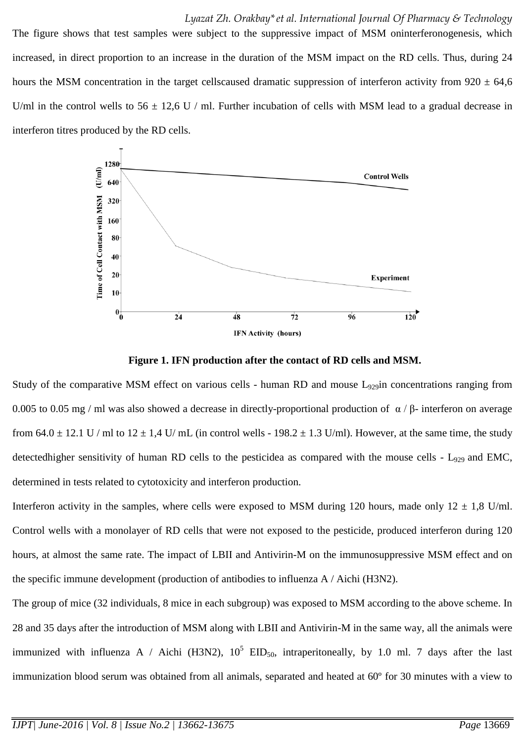The figure shows that test samples were subject to the suppressive impact of MSM oninterferonogenesis, which increased, in direct proportion to an increase in the duration of the MSM impact on the RD cells. Thus, during 24 hours the MSM concentration in the target cellscaused dramatic suppression of interferon activity from  $920 \pm 64,6$ U/ml in the control wells to  $56 \pm 12.6$  U / ml. Further incubation of cells with MSM lead to a gradual decrease in interferon titres produced by the RD cells.



**Figure 1. IFN production after the contact of RD cells and MSM.**

Study of the comparative MSM effect on various cells - human RD and mouse  $L_{929}$ in concentrations ranging from 0.005 to 0.05 mg / ml was also showed a decrease in directly-proportional production of  $\alpha$  / β- interferon on average from  $64.0 \pm 12.1$  U / ml to  $12 \pm 1.4$  U/ mL (in control wells - 198.2  $\pm$  1.3 U/ml). However, at the same time, the study detectedhigher sensitivity of human RD cells to the pesticidea as compared with the mouse cells - L<sub>929</sub> and EMC, determined in tests related to cytotoxicity and interferon production.

Interferon activity in the samples, where cells were exposed to MSM during 120 hours, made only  $12 \pm 1.8$  U/ml. Control wells with a monolayer of RD cells that were not exposed to the pesticide, produced interferon during 120 hours, at almost the same rate. The impact of LBII and Antivirin-M on the immunosuppressive MSM effect and on the specific immune development (production of antibodies to influenza A / Aichi (H3N2).

The group of mice (32 individuals, 8 mice in each subgroup) was exposed to MSM according to the above scheme. In 28 and 35 days after the introduction of MSM along with LBII and Antivirin-M in the same way, all the animals were immunized with influenza A / Aichi (H3N2),  $10^5$  EID<sub>50</sub>, intraperitoneally, by 1.0 ml. 7 days after the last immunization blood serum was obtained from all animals, separated and heated at 60º for 30 minutes with a view to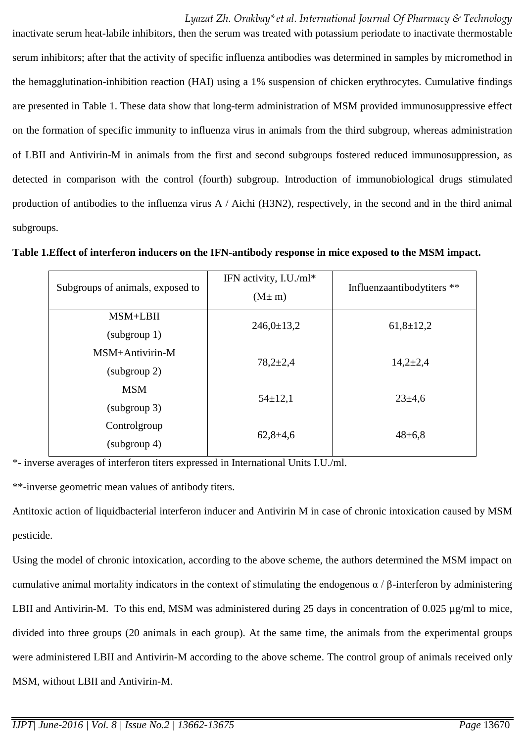inactivate serum heat-labile inhibitors, then the serum was treated with potassium periodate to inactivate thermostable serum inhibitors; after that the activity of specific influenza antibodies was determined in samples by micromethod in the hemagglutination-inhibition reaction (HAI) using a 1% suspension of chicken erythrocytes. Cumulative findings are presented in Table 1. These data show that long-term administration of MSM provided immunosuppressive effect on the formation of specific immunity to influenza virus in animals from the third subgroup, whereas administration of LBII and Antivirin-M in animals from the first and second subgroups fostered reduced immunosuppression, as detected in comparison with the control (fourth) subgroup. Introduction of immunobiological drugs stimulated production of antibodies to the influenza virus A / Aichi (H3N2), respectively, in the second and in the third animal subgroups.

**Table 1.Effect of interferon inducers on the IFN-antibody response in mice exposed to the MSM impact.**

| Subgroups of animals, exposed to  | IFN activity, I.U./ml*<br>$(M \pm m)$ | Influenzaantibodytiters ** |
|-----------------------------------|---------------------------------------|----------------------------|
| MSM+LBII<br>(subgroup 1)          | $246,0 \pm 13,2$                      | $61,8 \pm 12,2$            |
| $MSM+Antivirin-M$<br>(subgroup 2) | $78,2{\pm}2,4$                        | $14,2{\pm}2,4$             |
| <b>MSM</b><br>(subgroup 3)        | $54 \pm 12,1$                         | $23 \pm 4.6$               |
| Controlgroup<br>(subgroup 4)      | $62,8+4,6$                            | $48 \pm 6.8$               |

\*- inverse averages of interferon titers expressed in International Units I.U./ml.

\*\*-inverse geometric mean values of antibody titers.

Antitoxic action of liquidbacterial interferon inducer and Antivirin M in case of chronic intoxication caused by MSM pesticide.

Using the model of chronic intoxication, according to the above scheme, the authors determined the MSM impact on cumulative animal mortality indicators in the context of stimulating the endogenous α / β-interferon by administering LBII and Antivirin-M. To this end, MSM was administered during 25 days in concentration of 0.025 µg/ml to mice, divided into three groups (20 animals in each group). At the same time, the animals from the experimental groups were administered LBII and Antivirin-M according to the above scheme. The control group of animals received only MSM, without LBII and Antivirin-M.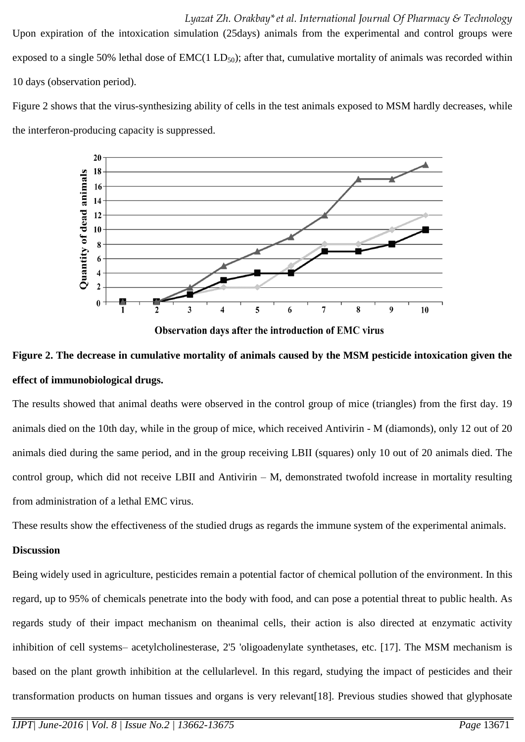Upon expiration of the intoxication simulation (25days) animals from the experimental and control groups were exposed to a single 50% lethal dose of  $EMC(1 LD<sub>50</sub>)$ ; after that, cumulative mortality of animals was recorded within 10 days (observation period).

Figure 2 shows that the virus-synthesizing ability of cells in the test animals exposed to MSM hardly decreases, while the interferon-producing capacity is suppressed.



Observation days after the introduction of EMC virus

## **Figure 2. The decrease in cumulative mortality of animals caused by the MSM pesticide intoxication given the effect of immunobiological drugs.**

The results showed that animal deaths were observed in the control group of mice (triangles) from the first day. 19 animals died on the 10th day, while in the group of mice, which received Antivirin - M (diamonds), only 12 out of 20 animals died during the same period, and in the group receiving LBII (squares) only 10 out of 20 animals died. The control group, which did not receive LBII and Antivirin – M, demonstrated twofold increase in mortality resulting from administration of a lethal EMC virus.

These results show the effectiveness of the studied drugs as regards the immune system of the experimental animals.

#### **Discussion**

Being widely used in agriculture, pesticides remain a potential factor of chemical pollution of the environment. In this regard, up to 95% of chemicals penetrate into the body with food, and can pose a potential threat to public health. As regards study of their impact mechanism on theanimal cells, their action is also directed at enzymatic activity inhibition of cell systems– acetylcholinesterase, 2'5 'oligoadenylate synthetases, etc. [17]. The MSM mechanism is based on the plant growth inhibition at the cellularlevel. In this regard, studying the impact of pesticides and their transformation products on human tissues and organs is very relevant[18]. Previous studies showed that glyphosate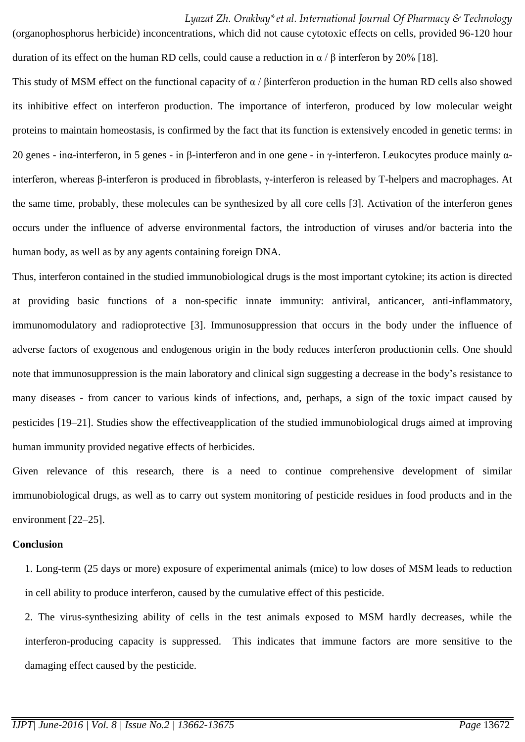(organophosphorus herbicide) inconcentrations, which did not cause cytotoxic effects on cells, provided 96-120 hour duration of its effect on the human RD cells, could cause a reduction in  $\alpha$  /  $\beta$  interferon by 20% [18].

This study of MSM effect on the functional capacity of  $\alpha$  / βinterferon production in the human RD cells also showed its inhibitive effect on interferon production. The importance of interferon, produced by low molecular weight proteins to maintain homeostasis, is confirmed by the fact that its function is extensively encoded in genetic terms: in 20 genes - inα-interferon, in 5 genes - in β-interferon and in one gene - in γ-interferon. Leukocytes produce mainly αinterferon, whereas β-interferon is produced in fibroblasts, γ-interferon is released by T-helpers and macrophages. At the same time, probably, these molecules can be synthesized by all core cells [3]. Activation of the interferon genes occurs under the influence of adverse environmental factors, the introduction of viruses and/or bacteria into the human body, as well as by any agents containing foreign DNA.

Thus, interferon contained in the studied immunobiological drugs is the most important cytokine; its action is directed at providing basic functions of a non-specific innate immunity: antiviral, anticancer, anti-inflammatory, immunomodulatory and radioprotective [3]. Immunosuppression that occurs in the body under the influence of adverse factors of exogenous and endogenous origin in the body reduces interferon productionin cells. One should note that immunosuppression is the main laboratory and clinical sign suggesting a decrease in the body's resistance to many diseases - from cancer to various kinds of infections, and, perhaps, a sign of the toxic impact caused by pesticides [19–21]. Studies show the effectiveapplication of the studied immunobiological drugs aimed at improving human immunity provided negative effects of herbicides.

Given relevance of this research, there is a need to continue comprehensive development of similar immunobiological drugs, as well as to carry out system monitoring of pesticide residues in food products and in the environment [22–25].

#### **Conclusion**

1. Long-term (25 days or more) exposure of experimental animals (mice) to low doses of MSM leads to reduction in cell ability to produce interferon, caused by the cumulative effect of this pesticide.

2. The virus-synthesizing ability of cells in the test animals exposed to MSM hardly decreases, while the interferon-producing capacity is suppressed. This indicates that immune factors are more sensitive to the damaging effect caused by the pesticide.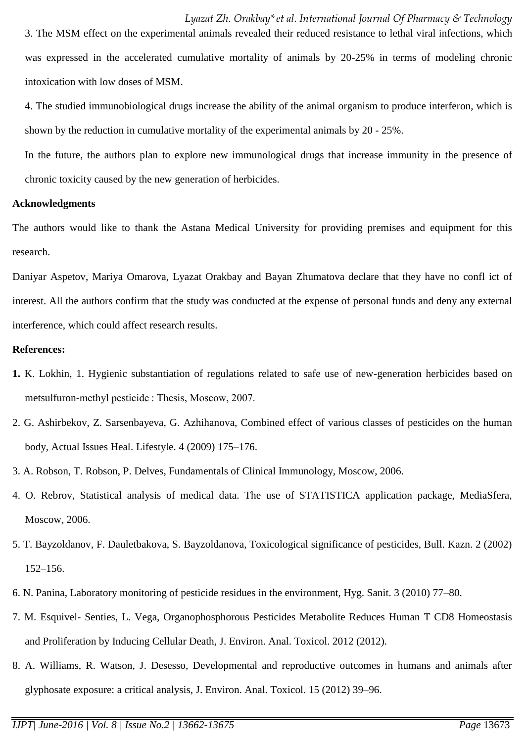4. The studied immunobiological drugs increase the ability of the animal organism to produce interferon, which is shown by the reduction in cumulative mortality of the experimental animals by 20 - 25%.

In the future, the authors plan to explore new immunological drugs that increase immunity in the presence of chronic toxicity caused by the new generation of herbicides.

#### **Acknowledgments**

The authors would like to thank the Astana Medical University for providing premises and equipment for this research.

Daniyar Aspetov, Mariya Omarova, Lyazat Orakbay and Bayan Zhumatova declare that they have no confl ict of interest. All the authors confirm that the study was conducted at the expense of personal funds and deny any external interference, which could affect research results.

#### **References:**

- **1.** K. Lokhin, 1. Hygienic substantiation of regulations related to safe use of new-generation herbicides based on metsulfuron-methyl pesticide : Thesis, Moscow, 2007.
- 2. G. Ashirbekov, Z. Sarsenbayeva, G. Azhihanova, Combined effect of various classes of pesticides on the human body, Actual Issues Heal. Lifestyle. 4 (2009) 175–176.
- 3. A. Robson, T. Robson, P. Delves, Fundamentals of Clinical Immunology, Moscow, 2006.
- 4. O. Rebrov, Statistical analysis of medical data. The use of STATISTICA application package, MediaSfera, Moscow, 2006.
- 5. T. Bayzoldanov, F. Dauletbakova, S. Bayzoldanova, Toxicological significance of pesticides, Bull. Kazn. 2 (2002) 152–156.
- 6. N. Panina, Laboratory monitoring of pesticide residues in the environment, Hyg. Sanit. 3 (2010) 77–80.
- 7. M. Esquivel- Senties, L. Vega, Organophosphorous Pesticides Metabolite Reduces Human T CD8 Homeostasis and Proliferation by Inducing Cellular Death, J. Environ. Anal. Toxicol. 2012 (2012).
- 8. A. Williams, R. Watson, J. Desesso, Developmental and reproductive outcomes in humans and animals after glyphosate exposure: a critical analysis, J. Environ. Anal. Toxicol. 15 (2012) 39–96.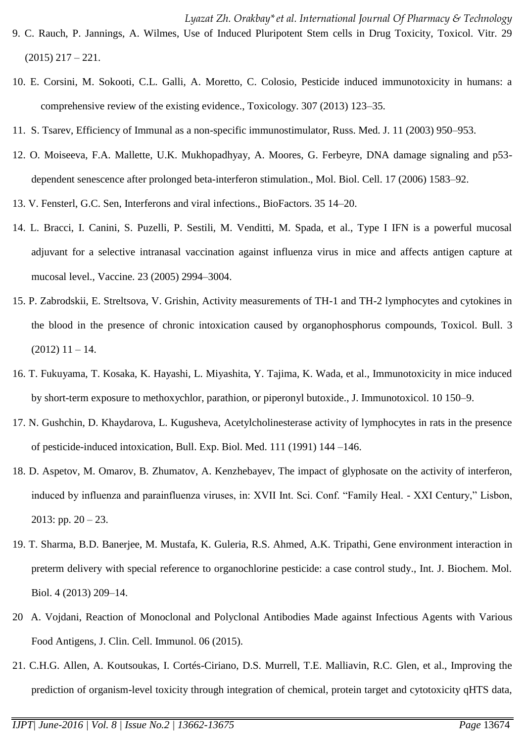- 9. C. Rauch, P. Jannings, A. Wilmes, Use of Induced Pluripotent Stem cells in Drug Toxicity, Toxicol. Vitr. 29  $(2015)$  217 – 221.
- 10. E. Corsini, M. Sokooti, C.L. Galli, A. Moretto, C. Colosio, Pesticide induced immunotoxicity in humans: a comprehensive review of the existing evidence., Toxicology. 307 (2013) 123–35.
- 11. S. Tsarev, Efficiency of Immunal as a non-specific immunostimulator, Russ. Med. J. 11 (2003) 950–953.
- 12. O. Moiseeva, F.A. Mallette, U.K. Mukhopadhyay, A. Moores, G. Ferbeyre, DNA damage signaling and p53 dependent senescence after prolonged beta-interferon stimulation., Mol. Biol. Cell. 17 (2006) 1583–92.
- 13. V. Fensterl, G.C. Sen, Interferons and viral infections., BioFactors. 35 14–20.
- 14. L. Bracci, I. Canini, S. Puzelli, P. Sestili, M. Venditti, M. Spada, et al., Type I IFN is a powerful mucosal adjuvant for a selective intranasal vaccination against influenza virus in mice and affects antigen capture at mucosal level., Vaccine. 23 (2005) 2994–3004.
- 15. P. Zabrodskii, E. Streltsova, V. Grishin, Activity measurements of TH-1 and TH-2 lymphocytes and cytokines in the blood in the presence of chronic intoxication caused by organophosphorus compounds, Toxicol. Bull. 3  $(2012)$  11 – 14.
- 16. T. Fukuyama, T. Kosaka, K. Hayashi, L. Miyashita, Y. Tajima, K. Wada, et al., Immunotoxicity in mice induced by short-term exposure to methoxychlor, parathion, or piperonyl butoxide., J. Immunotoxicol. 10 150–9.
- 17. N. Gushchin, D. Khaydarova, L. Kugusheva, Acetylcholinesterase activity of lymphocytes in rats in the presence of pesticide-induced intoxication, Bull. Exp. Biol. Med. 111 (1991) 144 –146.
- 18. D. Aspetov, M. Omarov, B. Zhumatov, A. Kenzhebayev, The impact of glyphosate on the activity of interferon, induced by influenza and parainfluenza viruses, in: XVII Int. Sci. Conf. "Family Heal. - XXI Century," Lisbon, 2013: pp.  $20 - 23$ .
- 19. T. Sharma, B.D. Banerjee, M. Mustafa, K. Guleria, R.S. Ahmed, A.K. Tripathi, Gene environment interaction in preterm delivery with special reference to organochlorine pesticide: a case control study., Int. J. Biochem. Mol. Biol. 4 (2013) 209–14.
- 20 A. Vojdani, Reaction of Monoclonal and Polyclonal Antibodies Made against Infectious Agents with Various Food Antigens, J. Clin. Cell. Immunol. 06 (2015).
- 21. C.H.G. Allen, A. Koutsoukas, I. Cortés-Ciriano, D.S. Murrell, T.E. Malliavin, R.C. Glen, et al., Improving the prediction of organism-level toxicity through integration of chemical, protein target and cytotoxicity qHTS data,